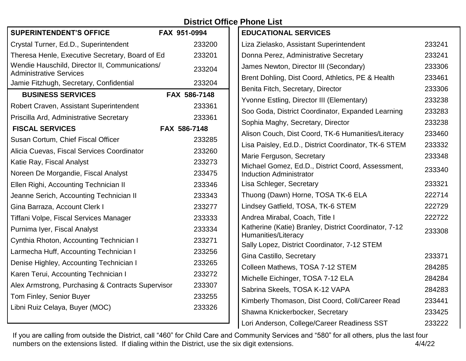| <b>District Office Phone List</b> |  |
|-----------------------------------|--|
|-----------------------------------|--|

| <b>SUPERINTENDENT'S OFFICE</b>                                                   | FAX 951-0994 |
|----------------------------------------------------------------------------------|--------------|
| Crystal Turner, Ed.D., Superintendent                                            | 233200       |
| Theresa Henle, Executive Secretary, Board of Ed.                                 | 233201       |
| Wendie Hauschild, Director II, Communications/<br><b>Administrative Services</b> | 233204       |
| Jamie Fitzhugh, Secretary, Confidential                                          | 233204       |
| <b>BUSINESS SERVICES</b>                                                         | FAX 586-7148 |
| Robert Craven, Assistant Superintendent                                          | 233361       |
| Priscilla Ard, Administrative Secretary                                          | 233361       |
| <b>FISCAL SERVICES</b>                                                           | FAX 586-7148 |
| Susan Cortum, Chief Fiscal Officer                                               | 233285       |
| Alicia Cuevas, Fiscal Services Coordinator                                       | 233260       |
| Katie Ray, Fiscal Analyst                                                        | 233273       |
| Noreen De Morgandie, Fiscal Analyst                                              | 233475       |
| Ellen Righi, Accounting Technician II                                            | 233346       |
| Jeanne Serich, Accounting Technician II                                          | 233343       |
| Gina Barraza, Account Clerk I                                                    | 233277       |
| Tiffani Volpe, Fiscal Services Manager                                           | 233333       |
| Purnima Iyer, Fiscal Analyst                                                     | 233334       |
| Cynthia Rhoton, Accounting Technician I                                          | 233271       |
| Larmecha Huff, Accounting Technician I                                           | 233256       |
| Denise Highley, Accounting Technician I                                          | 233265       |
| Karen Terui, Accounting Technician I                                             | 233272       |
| Alex Armstrong, Purchasing & Contracts Supervisor                                | 233307       |
| Tom Finley, Senior Buyer                                                         | 233255       |
| Libni Ruiz Celaya, Buyer (MOC)                                                   | 233326       |
|                                                                                  |              |

| <b>EDUCATIONAL SERVICES</b>                                                         |        |
|-------------------------------------------------------------------------------------|--------|
| Liza Zielasko, Assistant Superintendent                                             | 233241 |
| Donna Perez, Administrative Secretary                                               | 233241 |
| James Newton, Director III (Secondary)                                              | 233306 |
| Brent Dohling, Dist Coord, Athletics, PE & Health                                   | 233461 |
| Benita Fitch, Secretary, Director                                                   | 233306 |
| Yvonne Estling, Director III (Elementary)                                           | 233238 |
| Soo Goda, District Coordinator, Expanded Learning                                   | 233283 |
| Sophia Maghy, Secretary, Director                                                   | 233238 |
| Alison Couch, Dist Coord, TK-6 Humanities/Literacy                                  | 233460 |
| Lisa Paisley, Ed.D., District Coordinator, TK-6 STEM                                | 233332 |
| Marie Ferguson, Secretary                                                           | 233348 |
| Michael Gomez, Ed.D., District Coord, Assessment,<br><b>Induction Administrator</b> | 233340 |
| Lisa Schleger, Secretary                                                            | 233321 |
| Thuong (Dawn) Horne, TOSA TK-6 ELA                                                  | 222714 |
| Lindsey Gatfield, TOSA, TK-6 STEM                                                   | 222729 |
| Andrea Mirabal, Coach, Title I                                                      | 222722 |
| Katherine (Katie) Branley, District Coordinator, 7-12<br>Humanities/Literacy        | 233308 |
| Sally Lopez, District Coordinator, 7-12 STEM                                        |        |
| Gina Castillo, Secretary                                                            | 233371 |
| Colleen Mathews, TOSA 7-12 STEM                                                     | 284285 |
| Michelle Eichinger, TOSA 7-12 ELA                                                   | 284284 |
| Sabrina Skeels, TOSA K-12 VAPA                                                      | 284283 |
| Kimberly Thomason, Dist Coord, Coll/Career Read                                     | 233441 |
| Shawna Knickerbocker, Secretary                                                     | 233425 |
| Lori Anderson, College/Career Readiness SST                                         | 233222 |

If you are calling from outside the District, call "460" for Child Care and Community Services and "580" for all others, plus the last four numbers on the extensions listed. If dialing within the District, use the six digit extensions. 4/4/22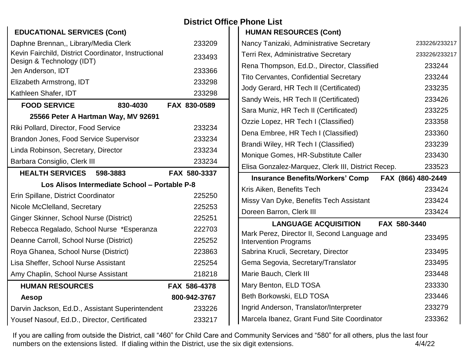### **EDUCATIONAL SERVICES (Cont)** Daphne Brennan,, Library/Media Clerk 233209 Kevin Fairchild, District Coordinator, Instructional Nevill Fallering, District Oberginator, instructional 233493<br>Design & Technology (IDT) Jen Anderson, IDT 233366 Elizabeth Armstrong, IDT 233298 Kathleen Shafer, IDT 233298 **FOOD SERVICE 830-4030 FAX 830-0589 25566 Peter A Hartman Way, MV 92691** Riki Pollard, Director, Food Service 233234 Brandon Jones, Food Service Supervisor 233234 Linda Robinson, Secretary, Director 233234 Barbara Consiglio, Clerk III 233234 **HEALTH SERVICES 598-3883 FAX 580-3337 Los Alisos Intermediate School – Portable P-8** Erin Spillane, District Coordinator 225250 Nicole McClelland, Secretary 225253 Ginger Skinner, School Nurse (District) 225251 Rebecca Regalado, School Nurse \*Esperanza 222703 Deanne Carroll, School Nurse (District) 225252 Roya Ghanea, School Nurse (District) 223863 Lisa Sheffer, School Nurse Assistant 225254 Amy Chaplin, School Nurse Assistant 218218 **HUMAN RESOURCES FAX 586-4378 Aesop 800-942-3767** Darvin Jackson, Ed.D., Assistant Superintendent 233226 Yousef Nasouf, Ed.D., Director, Certificated 233217

# **District Office Phone List**

 **HUMAN RESOURCES (Cont)**

| Nancy Tanizaki, Administrative Secretary                                     | 233226/233217      |
|------------------------------------------------------------------------------|--------------------|
| <b>Terri Rex, Administrative Secretary</b>                                   | 233226/233217      |
| Rena Thompson, Ed.D., Director, Classified                                   | 233244             |
| <b>Tito Cervantes, Confidential Secretary</b>                                | 233244             |
| Jody Gerard, HR Tech II (Certificated)                                       | 233235             |
| Sandy Weis, HR Tech II (Certificated)                                        | 233426             |
| Sara Muniz, HR Tech II (Certificated)                                        | 233225             |
| Ozzie Lopez, HR Tech I (Classified)                                          | 233358             |
| Dena Embree, HR Tech I (Classified)                                          | 233360             |
| Brandi Wiley, HR Tech I (Classified)                                         | 233239             |
| Monique Gomes, HR-Substitute Caller                                          | 233430             |
| Elisa Gonzalez-Marquez, Clerk III, District Recep.                           | 233523             |
| <b>Insurance Benefits/Workers' Comp</b>                                      | FAX (866) 480-2449 |
|                                                                              |                    |
| Kris Aiken, Benefits Tech                                                    | 233424             |
| Missy Van Dyke, Benefits Tech Assistant                                      | 233424             |
| Doreen Barron, Clerk III                                                     | 233424             |
| FAX 580-3440<br><b>LANGUAGE ACQUISITION</b>                                  |                    |
| Mark Perez, Director II, Second Language and<br><b>Intervention Programs</b> | 233495             |
| Sabrina Krucli, Secretary, Director                                          | 233495             |
| Gema Segovia, Secretary/Translator                                           | 233495             |
| Marie Bauch, Clerk III                                                       | 233448             |
| Mary Benton, ELD TOSA                                                        | 233330             |
| Beth Borkowski, ELD TOSA                                                     | 233446             |
| Ingrid Anderson, Translator/Interpreter                                      | 233279             |

If you are calling from outside the District, call "460" for Child Care and Community Services and "580" for all others, plus the last four numbers on the extensions listed. If dialing within the District, use the six digit extensions. 4/4/22 and 4/4/22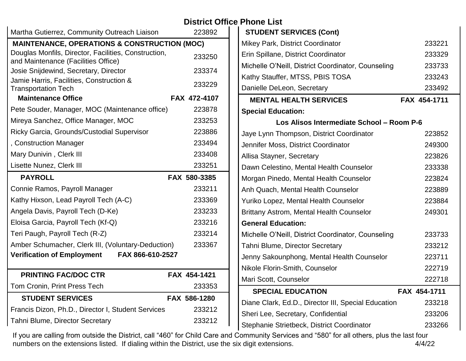## **District Office Phone List**

| Martha Gutierrez, Community Outreach Liaison                                                |  | 223892       |  |
|---------------------------------------------------------------------------------------------|--|--------------|--|
| <b>MAINTENANCE, OPERATIONS &amp; CONSTRUCTION (MOC)</b>                                     |  |              |  |
| Douglas Monfils, Director, Facilities, Construction,<br>and Maintenance (Facilities Office) |  | 233250       |  |
| Josie Snijdewind, Secretary, Director                                                       |  | 233374       |  |
| Jamie Harris, Facilities, Construction &<br><b>Transportation Tech</b>                      |  | 233229       |  |
| <b>Maintenance Office</b>                                                                   |  | FAX 472-4107 |  |
| Pete Souder, Manager, MOC (Maintenance office)                                              |  | 223878       |  |
| Mireya Sanchez, Office Manager, MOC                                                         |  | 233253       |  |
| Ricky Garcia, Grounds/Custodial Supervisor                                                  |  | 223886       |  |
| , Construction Manager                                                                      |  | 233494       |  |
| Mary Dunivin, Clerk III                                                                     |  | 233408       |  |
| Lisette Nunez, Clerk III                                                                    |  | 233251       |  |
| <b>PAYROLL</b>                                                                              |  | FAX 580-3385 |  |
| Connie Ramos, Payroll Manager                                                               |  | 233211       |  |
|                                                                                             |  |              |  |
| Kathy Hixson, Lead Payroll Tech (A-C)                                                       |  | 233369       |  |
| Angela Davis, Payroll Tech (D-Ke)                                                           |  | 233233       |  |
| Eloisa Garcia, Payroll Tech (Kf-Q)                                                          |  | 233216       |  |
| Teri Paugh, Payroll Tech (R-Z)                                                              |  | 233214       |  |
| Amber Schumacher, Clerk III, (Voluntary-Deduction)                                          |  | 233367       |  |
| FAX 866-610-2527<br><b>Verification of Employment</b>                                       |  |              |  |
| <b>PRINTING FAC/DOC CTR</b>                                                                 |  | FAX 454-1421 |  |
| Tom Cronin, Print Press Tech                                                                |  | 233353       |  |
| <b>STUDENT SERVICES</b>                                                                     |  | FAX 586-1280 |  |
| Francis Dizon, Ph.D., Director I, Student Services                                          |  | 233212       |  |

| <b>STUDENT SERVICES (Cont)</b>                                 |              |
|----------------------------------------------------------------|--------------|
| Mikey Park, District Coordinator                               | 233221       |
| Erin Spillane, District Coordinator                            | 233329       |
| Michelle O'Neill, District Coordinator, Counseling             | 233733       |
| Kathy Stauffer, MTSS, PBIS TOSA                                | 233243       |
| Danielle DeLeon, Secretary                                     | 233492       |
| <b>MENTAL HEALTH SERVICES</b>                                  | FAX 454-1711 |
| <b>Special Education:</b>                                      |              |
| Los Alisos Intermediate School - Room P-6                      |              |
| Jaye Lynn Thompson, District Coordinator                       | 223852       |
| Jennifer Moss, District Coordinator                            | 249300       |
| Allisa Stayner, Secretary                                      | 223826       |
| Dawn Celestino, Mental Health Counselor                        | 233338       |
| Morgan Pinedo, Mental Health Counselor                         | 223824       |
| Anh Quach, Mental Health Counselor                             | 223889       |
| Yuriko Lopez, Mental Health Counselor                          | 223884       |
| Brittany Astrom, Mental Health Counselor                       | 249301       |
| <b>General Education:</b>                                      |              |
| Michelle O'Neill, District Coordinator, Counseling             | 233733       |
| Tahni Blume, Director Secretary                                | 233212       |
| Jenny Sakounphong, Mental Health Counselor                     | 223711       |
| Nikole Florin-Smith, Counselor                                 | 222719       |
| Mari Scott, Counselor                                          | 222718       |
| <b>SPECIAL EDUCATION</b>                                       | FAX 454-1711 |
| Diane Clark, Ed.D., Director III, Special Education            | 233218       |
| Sheri Lee, Secretary, Confidential                             | 233206       |
| Stephanie Strietbeck, District Coordinator                     | 233266       |
| ommunity Services and "580" for all others, plus the last four |              |

If you are calling from outside the District, call "460" for Child Care and Community Services and Services and  $\sigma$ numbers on the extensions listed. If dialing within the District, use the six digit extensions. 4/4/22 4/4/22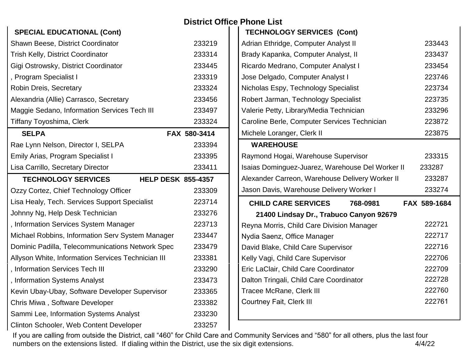| <b>SPECIAL EDUCATIONAL (Cont)</b>                       |              |
|---------------------------------------------------------|--------------|
| Shawn Beese, District Coordinator                       | 233219       |
| <b>Trish Kelly, District Coordinator</b>                | 233314       |
| Gigi Ostrowsky, District Coordinator                    | 233445       |
| , Program Specialist I                                  | 233319       |
| Robin Dreis, Secretary                                  | 233324       |
| Alexandria (Allie) Carrasco, Secretary                  | 233456       |
| Maggie Sedano, Information Services Tech III            | 233497       |
| <b>Tiffany Toyoshima, Clerk</b>                         | 233324       |
| <b>SELPA</b>                                            | FAX 580-3414 |
| Rae Lynn Nelson, Director I, SELPA                      | 233394       |
| Emily Arias, Program Specialist I                       | 233395       |
| Lisa Carrillo, Secretary Director                       | 233411       |
| <b>TECHNOLOGY SERVICES</b><br><b>HELP DESK 855-4357</b> |              |
| Ozzy Cortez, Chief Technology Officer                   | 233309       |
| Lisa Healy, Tech. Services Support Specialist           | 223714       |
| Johnny Ng, Help Desk Technician                         | 233276       |
| , Information Services System Manager                   | 223713       |
| Michael Robbins, Information Serv System Manager        | 233447       |
| Dominic Padilla, Telecommunications Network Spec        | 233479       |
| Allyson White, Information Services Technician III      | 233381       |
| , Information Services Tech III                         | 233290       |
| , Information Systems Analyst                           | 233473       |
| Kevin Ubay-Ubay, Software Developer Supervisor          | 233365       |
| Chris Miwa, Software Developer                          | 233382       |
| Sammi Lee, Information Systems Analyst                  | 233230       |
| Clinton Schooler, Web Content Developer                 | 233257       |

#### **District Office Phone List TECHNOLOGY SERVICES (Cont)**

| Adrian Ethridge, Computer Analyst II             | 233443       |
|--------------------------------------------------|--------------|
| Brady Kapanka, Computer Analyst, II              | 233437       |
| Ricardo Medrano, Computer Analyst I              | 233454       |
| Jose Delgado, Computer Analyst I                 | 223746       |
| Nicholas Espy, Technology Specialist             | 223734       |
| Robert Jarman, Technology Specialist             | 223735       |
| Valerie Petty, Library/Media Technician          | 233296       |
| Caroline Berle, Computer Services Technician     | 223872       |
| Michele Loranger, Clerk II                       | 223875       |
| <b>WAREHOUSE</b>                                 |              |
| Raymond Hogai, Warehouse Supervisor              | 233315       |
| Isaias Dominguez-Juarez, Warehouse Del Worker II | 233287       |
| Alexander Carreon, Warehouse Delivery Worker II  | 233287       |
|                                                  |              |
| Jason Davis, Warehouse Delivery Worker I         | 233274       |
| <b>CHILD CARE SERVICES</b><br>768-0981           | FAX 589-1684 |
| 21400 Lindsay Dr., Trabuco Canyon 92679          |              |
| Reyna Morris, Child Care Division Manager        | 222721       |
| Nydia Saenz, Office Manager                      | 222717       |
| David Blake, Child Care Supervisor               | 222716       |
| Kelly Vagi, Child Care Supervisor                | 222706       |
| Eric LaClair, Child Care Coordinator             | 222709       |
| Dalton Tringali, Child Care Coordinator          | 222728       |
| <b>Tracee McRane, Clerk III</b>                  | 222760       |
| <b>Courtney Fait, Clerk III</b>                  | 222761       |

If you are calling from outside the District, call "460" for Child Care and Community Services and "580" for all others, plus the last four numbers on the extensions listed. If dialing within the District, use the six digit extensions. 4/4/22